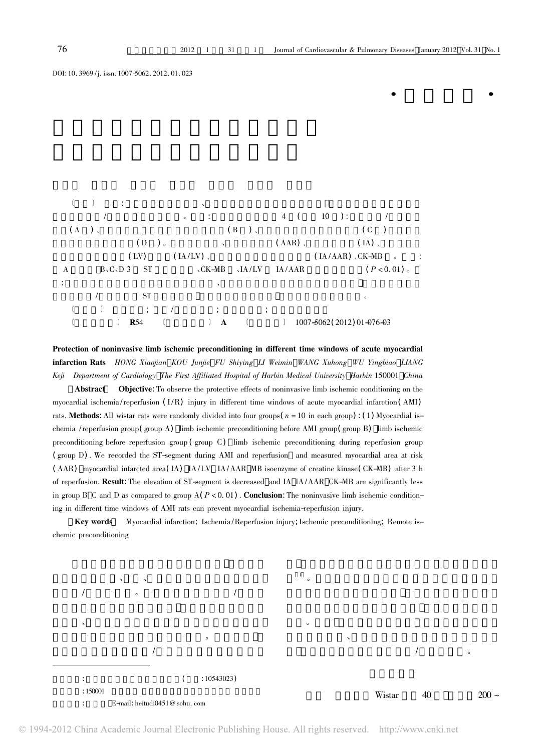·基础研究·

DOI: 10. 3969 /j. issn. 1007-5062. 2012. 01. 023



Protection of noninvasive limb ischemic preconditioning in different time windows of acute myocardial infarction Rats HONG Xiaojian KOU Junjie FU Shiying LI Weimin WANG Xuhong WU Yingbiao LIANG Keji Department of Cardiology The First Affiliated Hospital of Harbin Medical University Harbin 150001 China

Abstract Objective: To observe the protective effects of noninvasive limb ischemic conditioning on the myocardial ischemia /reperfusion ( I/R) injury in different time windows of acute myocardial infarction( AMI) rats. **Methods**: All wistar rats were randomly divided into four groups( $n = 10$  in each group) : (1) Myocardial ischemia /reperfusion group( group A) , limb ischemic preconditioning before AMI group( group B) , limb ischemic preconditioning before reperfusion group (group C) limb ischemic preconditioning during reperfusion group ( group D) . We recorded the ST-segment during AMI and reperfusion and measured myocardial area at risk (AAR) myocardial infarcted area(IA) IA/LV IA/AAR MB isoenzyme of creatine kinase(CK-MB) after 3 h of reperfusion. Result: The elevation of ST-segment is decreased and IA IA/AAR CK-MB are significantly less in group B C and D as compared to group  $A(P<0.01)$ . **Conclusion**: The noninvasive limb ischemic conditioning in different time windows of AMI rats can prevent myocardial ischemia-reperfusion injury.

Key words Myocardial infarction; Ischemia /Reperfusion injury; Ischemic preconditioning; Remote ischemic preconditioning



© 1994-2012 China Academic Journal Electronic Publishing House. All rights reserved. http://www.cnki.net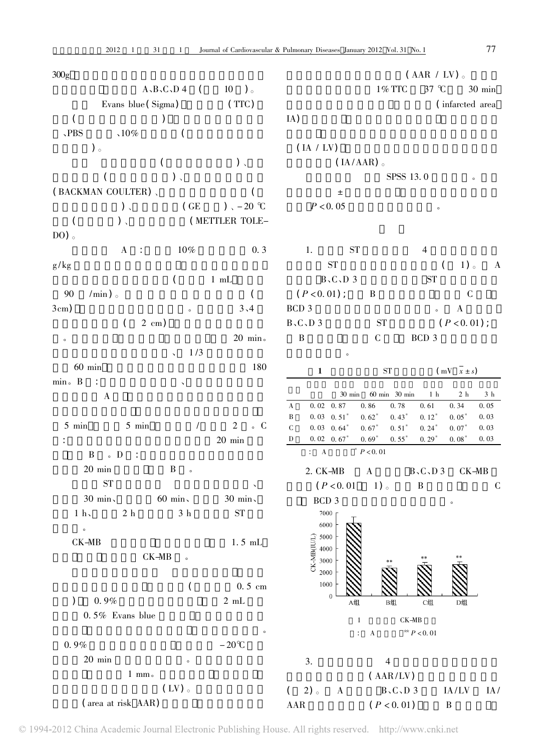| 300 <sub>g</sub>                                                                                 |                 |                                                                          |                   |                                          | $(AAR / LV)$ .                 |                           |               |
|--------------------------------------------------------------------------------------------------|-----------------|--------------------------------------------------------------------------|-------------------|------------------------------------------|--------------------------------|---------------------------|---------------|
| $A$ <sub>b</sub> $B$ <sub>b</sub> $C$ <sub>b</sub> $D$ <sup>4</sup><br>$10$ ).<br>$\overline{a}$ |                 |                                                                          |                   | $1\%$ TTC                                | 37 °C                          |                           | $30$ min      |
| Evans blue (Sigma)<br>(TTC)                                                                      |                 |                                                                          |                   |                                          |                                | (infarcted area           |               |
| $\left($                                                                                         |                 | IA)                                                                      |                   |                                          |                                |                           |               |
| <b>、PBS</b><br>$\sqrt{10\%}$                                                                     |                 |                                                                          |                   |                                          |                                |                           |               |
| $)$ 。                                                                                            |                 | (IA / LV)                                                                |                   |                                          |                                |                           |               |
| ) $\Box$<br>(                                                                                    |                 |                                                                          | (IA/AAR)          |                                          |                                |                           |               |
| ) 、                                                                                              |                 |                                                                          |                   | SPSS 13.0                                |                                | $\circ$                   |               |
| (BACKMAN COULTER)                                                                                |                 |                                                                          | $\pm$             |                                          |                                |                           |               |
| (CE)<br>)、                                                                                       | ) $\sim -20$ °C | P < 0.05                                                                 |                   |                                          | $\circ$                        |                           |               |
| (METTLER TOLE-<br>$)$ ,                                                                          |                 |                                                                          |                   |                                          |                                |                           |               |
| $DO$ ).                                                                                          |                 |                                                                          |                   |                                          |                                |                           |               |
| $10\%$<br>$\mathbf{A}$                                                                           | 0.3             | 1.                                                                       | <b>ST</b>         |                                          | 4                              |                           |               |
| g/kg                                                                                             |                 |                                                                          | ST                |                                          |                                | $1)$ 。<br>(               | A             |
| $\left($<br>1 mL                                                                                 |                 |                                                                          | $B$ , $C$ , $D$ 3 |                                          | <b>ST</b>                      |                           |               |
| /min)<br>90                                                                                      | $\overline{C}$  | $(P < 0.01)$ ;                                                           |                   | $\bf{B}$                                 |                                | $\mathcal{C}$             |               |
| 3cm)<br>$\circ$                                                                                  | 3,4             | BCD 3                                                                    |                   |                                          | $\circ$                        | $\bf{A}$                  |               |
| $2$ cm)<br>(                                                                                     |                 | $B$ , $C$ , $D$ 3                                                        |                   | ${\rm ST}$                               |                                | $(P < 0.01)$ ;            |               |
| $\circ$                                                                                          | $20$ min.       | $\, {\bf B}$                                                             |                   | $\mathsf C$                              | BCD 3                          |                           |               |
| 1/3                                                                                              |                 |                                                                          | $\circ$           |                                          |                                |                           |               |
| $60$ min                                                                                         | 180             | $\mathbf{1}$                                                             |                   | ST                                       |                                | $(mV \ x \pm s)$          |               |
| $min \circ B$<br>$\sim 10$                                                                       |                 |                                                                          |                   |                                          |                                |                           |               |
| $\bf{A}$                                                                                         |                 |                                                                          | $30 \text{ min}$  | 60 min 30 min                            | 1 <sub>h</sub>                 | 2 <sub>h</sub>            | 3 h           |
|                                                                                                  |                 | $0.02 \quad 0.87$<br>$\boldsymbol{A}$                                    |                   | 0.86<br>0.78                             | 0.61                           | 0.34                      | 0.05          |
| $5$ min<br>5 min<br>$\overline{2}$<br>$\sqrt{2}$                                                 | $\circ$ C       | $0.03 \t 0.51$ <sup>*</sup><br>B<br>$\mathsf C$<br>$0.03$ $0.64$ $^\ast$ |                   | $0.62*$<br>$0.43*$<br>$0.67*$<br>$0.51*$ | $0.12*$<br>$0.24$ <sup>*</sup> | $0.05^*$<br>$0.07*$       | 0.03<br>0.03  |
| $20$ min                                                                                         |                 | $0.02 \quad 0.67$<br>D                                                   |                   | $0.69*$<br>$0.55*$                       | $0.29*$                        | $0.08*$                   | 0.03          |
| $\mathbf{B}$<br>$\circ$ D                                                                        |                 | : $\quad$ A                                                              |                   | P < 0.01                                 |                                |                           |               |
| $20$ min<br>B<br>$\circ$                                                                         |                 | 2. CK-MB                                                                 |                   | $\bf{A}$                                 | $B \setminus C \setminus D$ 3  | CK-MB                     |               |
| <b>ST</b>                                                                                        |                 |                                                                          | (P < 0.01)        | 1)                                       | $\, {\bf B}$                   |                           | $\mathcal{C}$ |
| $30$ min<br>$30$ min<br>$60$ min                                                                 |                 | BCD 3                                                                    |                   |                                          |                                | $\circ$                   |               |
| $2\ \mathrm{h}$<br>$3\,$ h<br>${\rm ST}$<br>$1 h$ ,                                              |                 | $7000\,$                                                                 |                   |                                          |                                |                           |               |
| $\circ$                                                                                          |                 | 6000                                                                     |                   |                                          |                                |                           |               |
| $CK-MB$                                                                                          | $1.5$ mL        | 5000                                                                     |                   |                                          |                                |                           |               |
| $CK-MB$<br>$\circ$                                                                               |                 | CK-MB(IU/L)<br>4000<br>3000                                              |                   |                                          |                                |                           |               |
|                                                                                                  |                 | 2000                                                                     |                   |                                          |                                |                           |               |
| (                                                                                                | $0.5$ cm        | 1000                                                                     |                   |                                          |                                |                           |               |
| $0.9\%$<br>)<br>$2\,$ mL                                                                         |                 | $\boldsymbol{0}$                                                         | A组                | B组                                       | C组                             | D组                        |               |
| $0.5\%$ Evans blue                                                                               |                 |                                                                          |                   |                                          |                                |                           |               |
|                                                                                                  | $\circ$         |                                                                          | $\mathbf{1}$      | $CK-MB$                                  | ** $P < 0.01$                  |                           |               |
| $-20^{\circ}\!C$<br>$0.9\%$                                                                      |                 |                                                                          | ÷                 | $\mathbf A$                              |                                |                           |               |
| $20$ min<br>$\circ$                                                                              |                 | 3.                                                                       |                   | $\overline{4}$                           |                                |                           |               |
| $1 \text{ mm}$                                                                                   |                 |                                                                          |                   |                                          |                                |                           |               |
| (LV)                                                                                             |                 |                                                                          |                   | ( AAR/LV )                               |                                |                           |               |
| (area at risk AAR)                                                                               |                 | 2)<br>$\left($                                                           | $\bf{A}$          | $B$ , $C$ , $D$ 3                        |                                | $\mathrm{IA}/\mathrm{LV}$ | IA/           |
|                                                                                                  |                 | ${\rm AAR}$                                                              |                   | (P < 0.01)                               |                                | $\, {\bf B}$              |               |